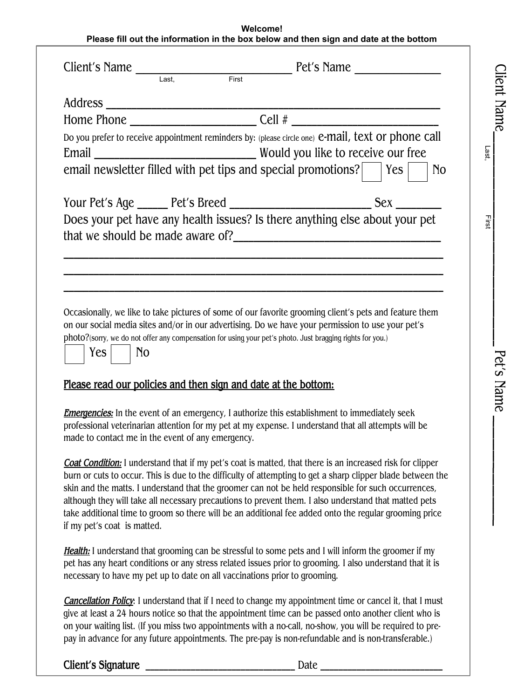## **Welcome! Please fill out the information in the box below and then sign and date at the bottom**

Clie  $\Xi$ 

Name\_

 $\mathsf{L}$  $\mathsf{L}$  $\mathbf{L}$  $\mathsf{L}$  $\mathbf{I}$  $\mathbf{I}$  $\mathbf{L}$  $\mathbf{I}$  $\mathbf{L}$  $\mathbf{I}$  $\mathbf{I}$  $\mathbf{L}$  $\mathbf{I}$  $\mathsf{L}$  $\mathbf{L}$  $\mathbf{L}$  $\mathsf{L}$  $\mathbf{L}$  $\mathsf{L}$  $\mathbf{L}$  $\mathbf{L}$  $\mathsf{L}$  $\mathbf{L}$  $\mathsf{L}$  $\mathsf{L}$  $\mathbf{L}$  $\mathsf{L}$  $\mathbf{L}$  $\mathsf{L}$  $\mathsf{L}$  $\mathbf{L}$  $\mathsf{L}$  $\mathbf{L}$  $\mathsf{L}$ 

P et's

Name

 $\mathbf{I}$  $\mathsf{L}$  $\mathbf{L}$  $\mathsf{L}$  $\mathsf{L}$  $\mathsf{L}$  $\mathbf{L}$  $\mathsf{L}$  $\mathsf{L}$  $\mathbf{L}$  $\mathsf{L}$  $\mathsf{L}$  $\mathsf{L}$  $\mathbf{L}$  $\mathsf{L}$  $\mathsf{L}$ 

|                                                                                                                                                                                                                                                                                                        | Client's Name Last, First Pet's Name                                                                                                                                                                                                                                                                                                                                                                                                                                                                                                                      |  |
|--------------------------------------------------------------------------------------------------------------------------------------------------------------------------------------------------------------------------------------------------------------------------------------------------------|-----------------------------------------------------------------------------------------------------------------------------------------------------------------------------------------------------------------------------------------------------------------------------------------------------------------------------------------------------------------------------------------------------------------------------------------------------------------------------------------------------------------------------------------------------------|--|
|                                                                                                                                                                                                                                                                                                        |                                                                                                                                                                                                                                                                                                                                                                                                                                                                                                                                                           |  |
|                                                                                                                                                                                                                                                                                                        |                                                                                                                                                                                                                                                                                                                                                                                                                                                                                                                                                           |  |
|                                                                                                                                                                                                                                                                                                        |                                                                                                                                                                                                                                                                                                                                                                                                                                                                                                                                                           |  |
|                                                                                                                                                                                                                                                                                                        | Do you prefer to receive appointment reminders by: (please circle one) e-mail, text or phone call                                                                                                                                                                                                                                                                                                                                                                                                                                                         |  |
|                                                                                                                                                                                                                                                                                                        | email newsletter filled with pet tips and special promotions?   Yes<br>N <sub>o</sub>                                                                                                                                                                                                                                                                                                                                                                                                                                                                     |  |
|                                                                                                                                                                                                                                                                                                        |                                                                                                                                                                                                                                                                                                                                                                                                                                                                                                                                                           |  |
|                                                                                                                                                                                                                                                                                                        | Does your pet have any health issues? Is there anything else about your pet                                                                                                                                                                                                                                                                                                                                                                                                                                                                               |  |
|                                                                                                                                                                                                                                                                                                        |                                                                                                                                                                                                                                                                                                                                                                                                                                                                                                                                                           |  |
| N <sub>o</sub><br>Yes                                                                                                                                                                                                                                                                                  | Occasionally, we like to take pictures of some of our favorite grooming client's pets and feature them<br>on our social media sites and/or in our advertising. Do we have your permission to use your pet's<br>photo?(sorry, we do not offer any compensation for using your pet's photo. Just bragging rights for you.)                                                                                                                                                                                                                                  |  |
|                                                                                                                                                                                                                                                                                                        | Please read our policies and then sign and date at the bottom:                                                                                                                                                                                                                                                                                                                                                                                                                                                                                            |  |
| made to contact me in the event of any emergency.                                                                                                                                                                                                                                                      | <b>Emergencies:</b> In the event of an emergency, I authorize this establishment to immediately seek<br>professional veterinarian attention for my pet at my expense. I understand that all attempts will be                                                                                                                                                                                                                                                                                                                                              |  |
| if my pet's coat is matted.                                                                                                                                                                                                                                                                            | <b>Coat Condition:</b> I understand that if my pet's coat is matted, that there is an increased risk for clipper<br>burn or cuts to occur. This is due to the difficulty of attempting to get a sharp clipper blade between the<br>skin and the matts. I understand that the groomer can not be held responsible for such occurrences,<br>although they will take all necessary precautions to prevent them. I also understand that matted pets<br>take additional time to groom so there will be an additional fee added onto the regular grooming price |  |
| <b>Health:</b> I understand that grooming can be stressful to some pets and I will inform the groomer if my<br>pet has any heart conditions or any stress related issues prior to grooming. I also understand that it is<br>necessary to have my pet up to date on all vaccinations prior to grooming. |                                                                                                                                                                                                                                                                                                                                                                                                                                                                                                                                                           |  |
|                                                                                                                                                                                                                                                                                                        | Cancellation Policy: I understand that if I need to change my appointment time or cancel it, that I must<br>give at least a 24 hours notice so that the appointment time can be passed onto another client who is<br>on your waiting list. (If you miss two appointments with a no-call, no-show, you will be required to pre-<br>pay in advance for any future appointments. The pre-pay is non-refundable and is non-transferable.)                                                                                                                     |  |
| Client's Signature                                                                                                                                                                                                                                                                                     | Date $\overline{\phantom{a}}$                                                                                                                                                                                                                                                                                                                                                                                                                                                                                                                             |  |